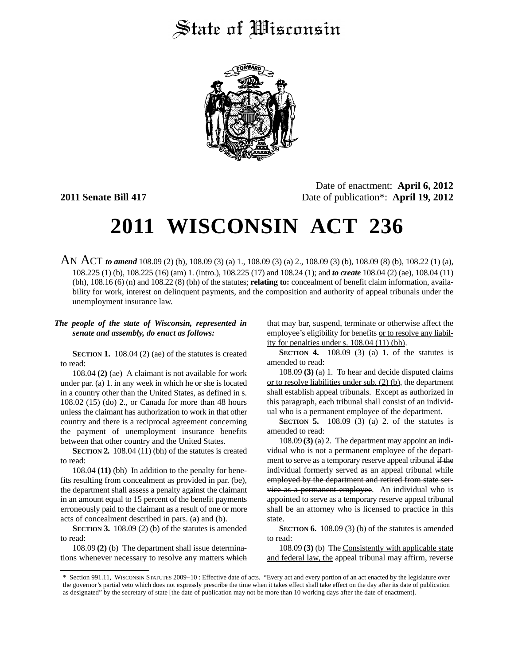## State of Wisconsin



Date of enactment: **April 6, 2012 2011 Senate Bill 417** Date of publication\*: **April 19, 2012**

# **2011 WISCONSIN ACT 236**

AN ACT *to amend* 108.09 (2) (b), 108.09 (3) (a) 1., 108.09 (3) (a) 2., 108.09 (3) (b), 108.09 (8) (b), 108.22 (1) (a), 108.225 (1) (b), 108.225 (16) (am) 1. (intro.), 108.225 (17) and 108.24 (1); and *to create* 108.04 (2) (ae), 108.04 (11) (bh), 108.16 (6) (n) and 108.22 (8) (bh) of the statutes; **relating to:** concealment of benefit claim information, availability for work, interest on delinquent payments, and the composition and authority of appeal tribunals under the unemployment insurance law.

#### *The people of the state of Wisconsin, represented in senate and assembly, do enact as follows:*

**SECTION 1.** 108.04 (2) (ae) of the statutes is created to read:

108.04 **(2)** (ae) A claimant is not available for work under par. (a) 1. in any week in which he or she is located in a country other than the United States, as defined in s. 108.02 (15) (do) 2., or Canada for more than 48 hours unless the claimant has authorization to work in that other country and there is a reciprocal agreement concerning the payment of unemployment insurance benefits between that other country and the United States.

**SECTION 2.** 108.04 (11) (bh) of the statutes is created to read:

108.04 **(11)** (bh) In addition to the penalty for benefits resulting from concealment as provided in par. (be), the department shall assess a penalty against the claimant in an amount equal to 15 percent of the benefit payments erroneously paid to the claimant as a result of one or more acts of concealment described in pars. (a) and (b).

**SECTION 3.** 108.09 (2) (b) of the statutes is amended to read:

108.09 **(2)** (b) The department shall issue determinations whenever necessary to resolve any matters which that may bar, suspend, terminate or otherwise affect the employee's eligibility for benefits or to resolve any liability for penalties under s. 108.04 (11) (bh).

**SECTION 4.** 108.09 (3) (a) 1. of the statutes is amended to read:

108.09 **(3)** (a) 1. To hear and decide disputed claims or to resolve liabilities under sub. (2) (b), the department shall establish appeal tribunals. Except as authorized in this paragraph, each tribunal shall consist of an individual who is a permanent employee of the department.

**SECTION 5.** 108.09 (3) (a) 2. of the statutes is amended to read:

108.09 **(3)** (a) 2. The department may appoint an individual who is not a permanent employee of the department to serve as a temporary reserve appeal tribunal if the individual formerly served as an appeal tribunal while employed by the department and retired from state service as a permanent employee. An individual who is appointed to serve as a temporary reserve appeal tribunal shall be an attorney who is licensed to practice in this state.

**SECTION 6.** 108.09 (3) (b) of the statutes is amended to read:

108.09 **(3)** (b) The Consistently with applicable state and federal law, the appeal tribunal may affirm, reverse

<sup>\*</sup> Section 991.11, WISCONSIN STATUTES 2009−10 : Effective date of acts. "Every act and every portion of an act enacted by the legislature over the governor's partial veto which does not expressly prescribe the time when it takes effect shall take effect on the day after its date of publication as designated" by the secretary of state [the date of publication may not be more than 10 working days after the date of enactment].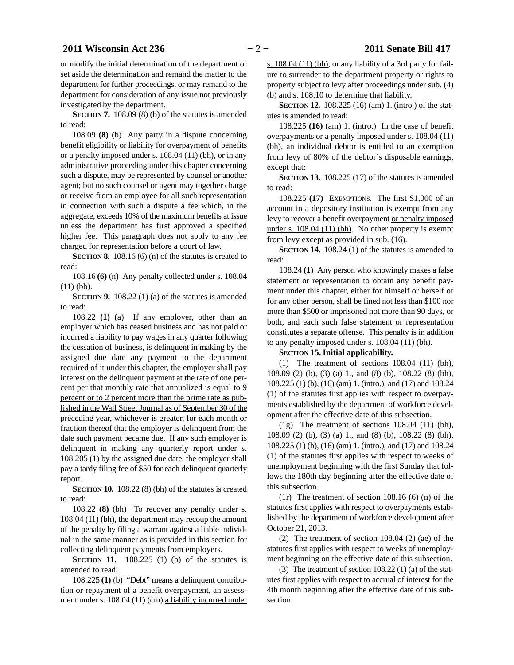or modify the initial determination of the department or set aside the determination and remand the matter to the department for further proceedings, or may remand to the department for consideration of any issue not previously investigated by the department.

**SECTION 7.** 108.09 (8) (b) of the statutes is amended to read:

108.09 **(8)** (b) Any party in a dispute concerning benefit eligibility or liability for overpayment of benefits or a penalty imposed under s. 108.04 (11) (bh), or in any administrative proceeding under this chapter concerning such a dispute, may be represented by counsel or another agent; but no such counsel or agent may together charge or receive from an employee for all such representation in connection with such a dispute a fee which, in the aggregate, exceeds 10% of the maximum benefits at issue unless the department has first approved a specified higher fee. This paragraph does not apply to any fee charged for representation before a court of law.

**SECTION 8.** 108.16 (6) (n) of the statutes is created to read:

108.16 **(6)** (n) Any penalty collected under s. 108.04 (11) (bh).

**SECTION 9.** 108.22 (1) (a) of the statutes is amended to read:

108.22 **(1)** (a) If any employer, other than an employer which has ceased business and has not paid or incurred a liability to pay wages in any quarter following the cessation of business, is delinquent in making by the assigned due date any payment to the department required of it under this chapter, the employer shall pay interest on the delinquent payment at the rate of one percent per that monthly rate that annualized is equal to 9 percent or to 2 percent more than the prime rate as published in the Wall Street Journal as of September 30 of the preceding year, whichever is greater, for each month or fraction thereof that the employer is delinquent from the date such payment became due. If any such employer is delinquent in making any quarterly report under s. 108.205 (1) by the assigned due date, the employer shall pay a tardy filing fee of \$50 for each delinquent quarterly report.

**SECTION 10.** 108.22 (8) (bh) of the statutes is created to read:

108.22 **(8)** (bh) To recover any penalty under s. 108.04 (11) (bh), the department may recoup the amount of the penalty by filing a warrant against a liable individual in the same manner as is provided in this section for collecting delinquent payments from employers.

**SECTION 11.** 108.225 (1) (b) of the statutes is amended to read:

108.225 **(1)** (b) "Debt" means a delinquent contribution or repayment of a benefit overpayment, an assessment under s. 108.04 (11) (cm) a liability incurred under

s. 108.04 (11) (bh), or any liability of a 3rd party for failure to surrender to the department property or rights to property subject to levy after proceedings under sub. (4) (b) and s. 108.10 to determine that liability.

**SECTION 12.** 108.225 (16) (am) 1. (intro.) of the statutes is amended to read:

108.225 **(16)** (am) 1. (intro.) In the case of benefit overpayments or a penalty imposed under s. 108.04 (11) (bh), an individual debtor is entitled to an exemption from levy of 80% of the debtor's disposable earnings, except that:

**SECTION 13.** 108.225 (17) of the statutes is amended to read:

108.225 **(17)** EXEMPTIONS. The first \$1,000 of an account in a depository institution is exempt from any levy to recover a benefit overpayment or penalty imposed under s. 108.04 (11) (bh). No other property is exempt from levy except as provided in sub. (16).

**SECTION 14.** 108.24 (1) of the statutes is amended to read:

108.24 **(1)** Any person who knowingly makes a false statement or representation to obtain any benefit payment under this chapter, either for himself or herself or for any other person, shall be fined not less than \$100 nor more than \$500 or imprisoned not more than 90 days, or both; and each such false statement or representation constitutes a separate offense. This penalty is in addition to any penalty imposed under s. 108.04 (11) (bh).

#### **SECTION 15.**0**Initial applicability.**

(1) The treatment of sections 108.04 (11) (bh), 108.09 (2) (b), (3) (a) 1., and (8) (b), 108.22 (8) (bh), 108.225 (1) (b), (16) (am) 1. (intro.), and (17) and 108.24 (1) of the statutes first applies with respect to overpayments established by the department of workforce development after the effective date of this subsection.

(1g) The treatment of sections 108.04 (11) (bh), 108.09 (2) (b), (3) (a) 1., and (8) (b), 108.22 (8) (bh), 108.225 (1) (b), (16) (am) 1. (intro.), and (17) and 108.24 (1) of the statutes first applies with respect to weeks of unemployment beginning with the first Sunday that follows the 180th day beginning after the effective date of this subsection.

(1r) The treatment of section  $108.16$  (6) (n) of the statutes first applies with respect to overpayments established by the department of workforce development after October 21, 2013.

(2) The treatment of section 108.04 (2) (ae) of the statutes first applies with respect to weeks of unemployment beginning on the effective date of this subsection.

(3) The treatment of section  $108.22$  (1) (a) of the statutes first applies with respect to accrual of interest for the 4th month beginning after the effective date of this subsection.